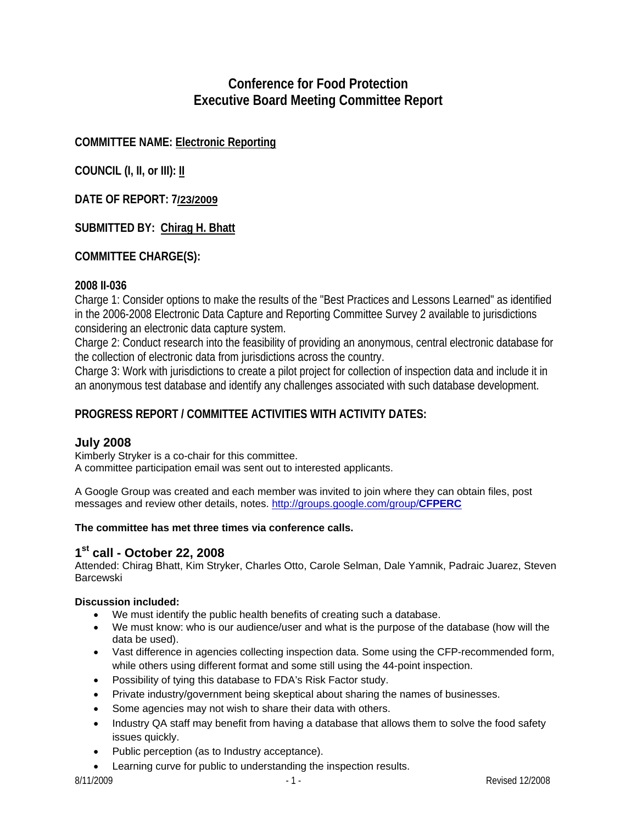# **Conference for Food Protection Executive Board Meeting Committee Report**

# **COMMITTEE NAME: Electronic Reporting**

**COUNCIL (I, II, or III): II**

**DATE OF REPORT: 7/23/2009**

# **SUBMITTED BY: Chirag H. Bhatt**

# **COMMITTEE CHARGE(S):**

## **2008 II-036**

Charge 1: Consider options to make the results of the "Best Practices and Lessons Learned" as identified in the 2006-2008 Electronic Data Capture and Reporting Committee Survey 2 available to jurisdictions considering an electronic data capture system.

Charge 2: Conduct research into the feasibility of providing an anonymous, central electronic database for the collection of electronic data from jurisdictions across the country.

Charge 3: Work with jurisdictions to create a pilot project for collection of inspection data and include it in an anonymous test database and identify any challenges associated with such database development.

# **PROGRESS REPORT / COMMITTEE ACTIVITIES WITH ACTIVITY DATES:**

## **July 2008**

Kimberly Stryker is a co-chair for this committee. A committee participation email was sent out to interested applicants.

A Google Group was created and each member was invited to join where they can obtain files, post messages and review other details, notes. [http://groups.google.com/group/](http://groups.google.com/group/CFPERC)**CFPERC**

### **The committee has met three times via conference calls.**

## **1st call - October 22, 2008**

Attended: Chirag Bhatt, Kim Stryker, Charles Otto, Carole Selman, Dale Yamnik, Padraic Juarez, Steven Barcewski

### **Discussion included:**

- We must identify the public health benefits of creating such a database.
- We must know: who is our audience/user and what is the purpose of the database (how will the data be used).
- Vast difference in agencies collecting inspection data. Some using the CFP-recommended form, while others using different format and some still using the 44-point inspection.
- Possibility of tying this database to FDA's Risk Factor study.
- Private industry/government being skeptical about sharing the names of businesses.
- Some agencies may not wish to share their data with others.
- Industry QA staff may benefit from having a database that allows them to solve the food safety issues quickly.
- Public perception (as to Industry acceptance).
- Learning curve for public to understanding the inspection results.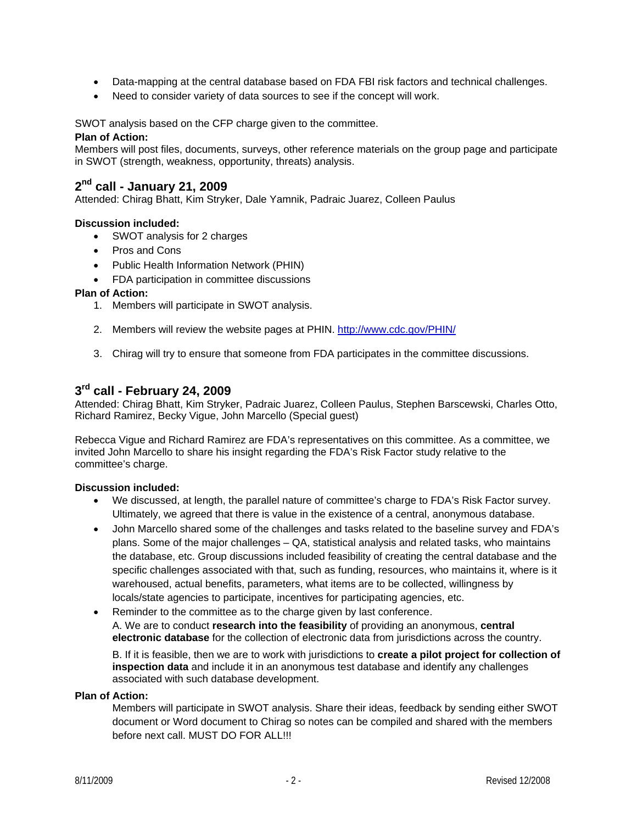- Data-mapping at the central database based on FDA FBI risk factors and technical challenges.
- Need to consider variety of data sources to see if the concept will work.

SWOT analysis based on the CFP charge given to the committee.

#### **Plan of Action:**

Members will post files, documents, surveys, other reference materials on the group page and participate in SWOT (strength, weakness, opportunity, threats) analysis.

## **2nd call - January 21, 2009**

Attended: Chirag Bhatt, Kim Stryker, Dale Yamnik, Padraic Juarez, Colleen Paulus

#### **Discussion included:**

- SWOT analysis for 2 charges
- Pros and Cons
- Public Health Information Network (PHIN)
- FDA participation in committee discussions

#### **Plan of Action:**

- 1. Members will participate in SWOT analysis.
- 2. Members will review the website pages at PHIN. <http://www.cdc.gov/PHIN/>
- 3. Chirag will try to ensure that someone from FDA participates in the committee discussions.

## **3rd call - February 24, 2009**

Attended: Chirag Bhatt, Kim Stryker, Padraic Juarez, Colleen Paulus, Stephen Barscewski, Charles Otto, Richard Ramirez, Becky Vigue, John Marcello (Special guest)

Rebecca Vigue and Richard Ramirez are FDA's representatives on this committee. As a committee, we invited John Marcello to share his insight regarding the FDA's Risk Factor study relative to the committee's charge.

### **Discussion included:**

- We discussed, at length, the parallel nature of committee's charge to FDA's Risk Factor survey. Ultimately, we agreed that there is value in the existence of a central, anonymous database.
- John Marcello shared some of the challenges and tasks related to the baseline survey and FDA's plans. Some of the major challenges – QA, statistical analysis and related tasks, who maintains the database, etc. Group discussions included feasibility of creating the central database and the specific challenges associated with that, such as funding, resources, who maintains it, where is it warehoused, actual benefits, parameters, what items are to be collected, willingness by locals/state agencies to participate, incentives for participating agencies, etc.
- Reminder to the committee as to the charge given by last conference. A. We are to conduct **research into the feasibility** of providing an anonymous, **central electronic database** for the collection of electronic data from jurisdictions across the country.

B. If it is feasible, then we are to work with jurisdictions to **create a pilot project for collection of inspection data** and include it in an anonymous test database and identify any challenges associated with such database development.

#### **Plan of Action:**

Members will participate in SWOT analysis. Share their ideas, feedback by sending either SWOT document or Word document to Chirag so notes can be compiled and shared with the members before next call. MUST DO FOR ALL!!!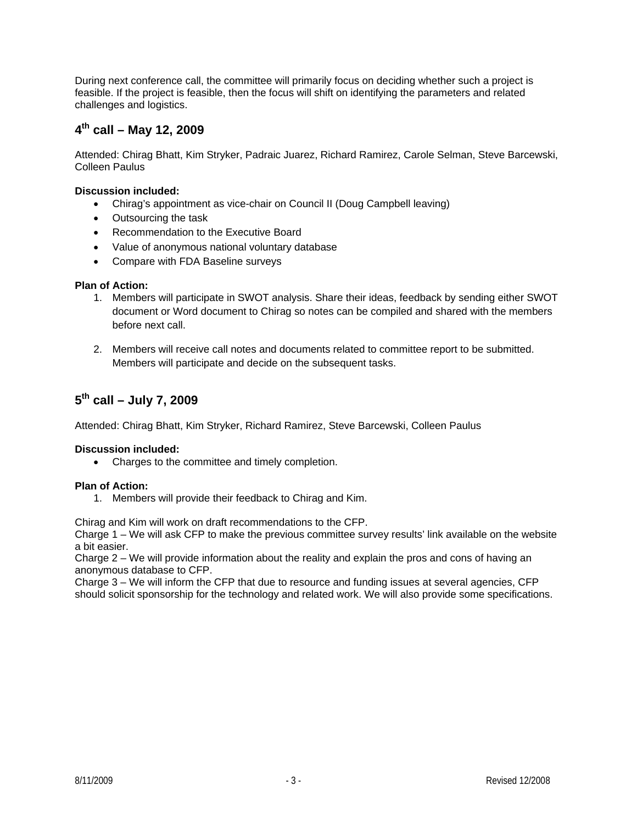During next conference call, the committee will primarily focus on deciding whether such a project is feasible. If the project is feasible, then the focus will shift on identifying the parameters and related challenges and logistics.

# **4th call – May 12, 2009**

Attended: Chirag Bhatt, Kim Stryker, Padraic Juarez, Richard Ramirez, Carole Selman, Steve Barcewski, Colleen Paulus

### **Discussion included:**

- Chirag's appointment as vice-chair on Council II (Doug Campbell leaving)
- Outsourcing the task
- Recommendation to the Executive Board
- Value of anonymous national voluntary database
- Compare with FDA Baseline surveys

### **Plan of Action:**

- 1. Members will participate in SWOT analysis. Share their ideas, feedback by sending either SWOT document or Word document to Chirag so notes can be compiled and shared with the members before next call.
- 2. Members will receive call notes and documents related to committee report to be submitted. Members will participate and decide on the subsequent tasks.

# **5th call – July 7, 2009**

Attended: Chirag Bhatt, Kim Stryker, Richard Ramirez, Steve Barcewski, Colleen Paulus

### **Discussion included:**

• Charges to the committee and timely completion.

### **Plan of Action:**

1. Members will provide their feedback to Chirag and Kim.

Chirag and Kim will work on draft recommendations to the CFP.

Charge 1 – We will ask CFP to make the previous committee survey results' link available on the website a bit easier.

Charge 2 – We will provide information about the reality and explain the pros and cons of having an anonymous database to CFP.

Charge 3 – We will inform the CFP that due to resource and funding issues at several agencies, CFP should solicit sponsorship for the technology and related work. We will also provide some specifications.